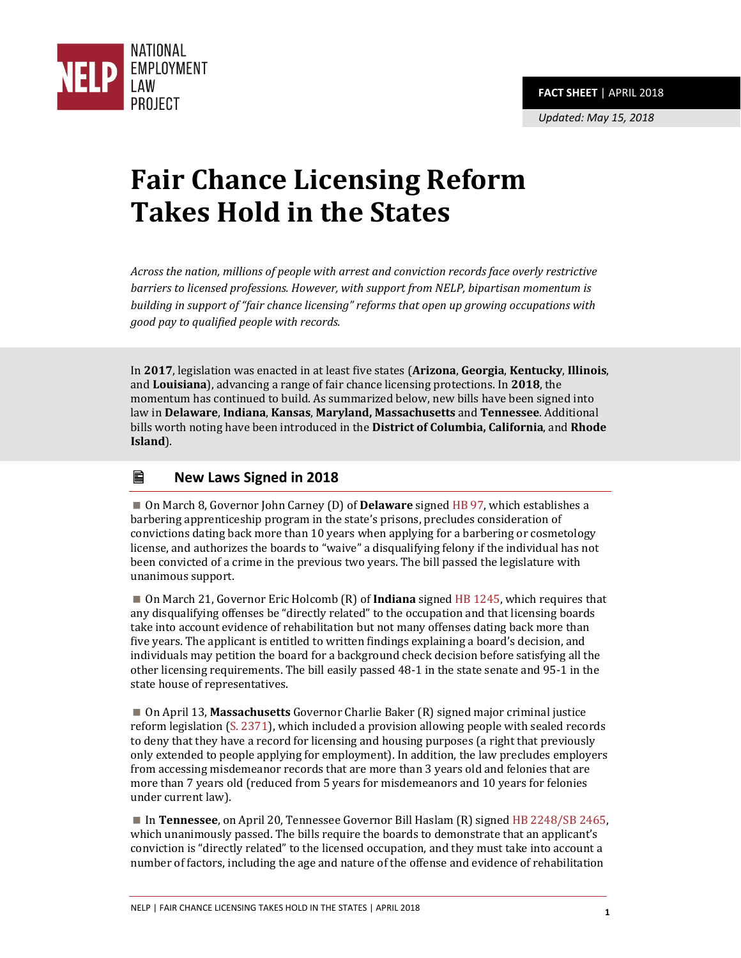

# **Fair Chance Licensing Reform Takes Hold in the States**

*Across the nation, millions of people with arrest and conviction records face overly restrictive barriers to licensed professions. However, with support from NELP, bipartisan momentum is building in support of "fair chance licensing" reforms that open up growing occupations with good pay to qualified people with records.*

In **2017**, legislation was enacted in at least five states (**Arizona**, **Georgia**, **Kentucky**, **Illinois**, and **Louisiana**), advancing a range of fair chance licensing protections. In **2018**, the momentum has continued to build. As summarized below, new bills have been signed into law in **Delaware**, **Indiana**, **Kansas**, **Maryland, Massachusetts** and **Tennessee**. Additional bills worth noting have been introduced in the **District of Columbia, California**, and **Rhode Island**).

# **New Laws Signed in 2018**

 On March 8, Governor John Carney (D) of **Delaware** signed [HB 97,](http://legis.delaware.gov/json/BillDetail/GenerateHtmlDocumentEngrossment?engrossmentId=2444&docTypeId=6) which establishes a barbering apprenticeship program in the state's prisons, precludes consideration of convictions dating back more than 10 years when applying for a barbering or cosmetology license, and authorizes the boards to "waive" a disqualifying felony if the individual has not been convicted of a crime in the previous two years. The bill passed the legislature with unanimous support.

 On March 21, Governor Eric Holcomb (R) of **Indiana** signe[d HB 1245,](https://iga.in.gov/legislative/2018/bills/house/1245#document-fcfb695e) which requires that any disqualifying offenses be "directly related" to the occupation and that licensing boards take into account evidence of rehabilitation but not many offenses dating back more than five years. The applicant is entitled to written findings explaining a board's decision, and individuals may petition the board for a background check decision before satisfying all the other licensing requirements. The bill easily passed 48-1 in the state senate and 95-1 in the state house of representatives.

 On April 13, **Massachusetts** Governor Charlie Baker (R) signed major criminal justice reform legislation [\(S. 2371\)](file:///C:/Users/Maurice%20Emsellem/Downloads/S2371%20(1).pdf), which included a provision allowing people with sealed records to deny that they have a record for licensing and housing purposes (a right that previously only extended to people applying for employment). In addition, the law precludes employers from accessing misdemeanor records that are more than 3 years old and felonies that are more than 7 years old (reduced from 5 years for misdemeanors and 10 years for felonies under current law).

■ In **Tennessee**, on April 20, Tennessee Governor Bill Haslam (R) signe[d HB 2248/SB 2465,](http://www.capitol.tn.gov/Bills/110/Bill/SB2465.pdf) which unanimously passed. The bills require the boards to demonstrate that an applicant's conviction is "directly related" to the licensed occupation, and they must take into account a number of factors, including the age and nature of the offense and evidence of rehabilitation